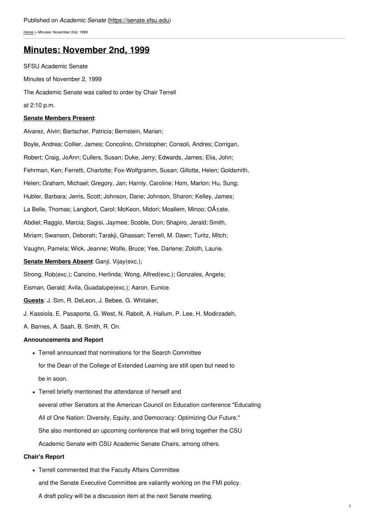[Home](https://senate.sfsu.edu/) > Minutes: November 2nd, 1999

# **Minutes: [November](https://senate.sfsu.edu/content/minute-m11-02-99) 2nd, 1999**

SFSU Academic Senate Minutes of November 2, 1999 The Academic Senate was called to order by Chair Terrell at 2:10 p.m.

# **Senate Members Present**:

Alvarez, Alvin; Bartscher, Patricia; Bernstein, Marian; Boyle, Andrea; Collier, James; Concolino, Christopher; Consoli, Andres; Corrigan, Robert; Craig, JoAnn; Cullers, Susan; Duke, Jerry; Edwards, James; Elia, John; Fehrman, Ken; Ferretti, Charlotte; Fox-Wolfgramm, Susan; Gillotte, Helen; Goldsmith, Helen; Graham, Michael; Gregory, Jan; Harnly, Caroline; Hom, Marlon; Hu, Sung; Hubler, Barbara; Jerris, Scott; Johnson, Dane; Johnson, Sharon; Kelley, James; La Belle, Thomas; Langbort, Carol; McKeon, Midori; Moallem, Minoo; O±ate, Abdiel; Raggio, Marcia; Sagisi, Jaymee; Scoble, Don; Shapiro, Jerald; Smith, Miriam; Swanson, Deborah; Tarakji, Ghassan; Terrell, M. Dawn; Turitz, Mitch; Vaughn, Pamela; Wick, Jeanne; Wolfe, Bruce; Yee, Darlene; Zoloth, Laurie. **Senate Members Absent**: Ganji, Vijay(exc.); Strong, Rob(exc.); Cancino, Herlinda; Wong, Alfred(exc.); Gonzales, Angela; Eisman, Gerald; Avila, Guadalupe(exc.); Aaron, Eunice. **Guests**: J. Sim, R. DeLeon, J. Bebee, G. Whitaker, J. Kassiola, E. Pasaporte, G. West, N. Rabolt, A. Hallum, P. Lee, H. Modirzadeh, A. Barnes, A. Saah, B. Smith, R. On.

# **Announcements and Report**

- Terrell announced that nominations for the Search Committee for the Dean of the College of Extended Learning are still open but need to be in soon.
- Terrell briefly mentioned the attendance of herself and several other Senators at the American Council on Education conference "Educating All of One Nation: Diversity, Equity, and Democracy: Optimizing Our Future." She also mentioned an upcoming conference that will bring together the CSU Academic Senate with CSU Academic Senate Chairs, among others.

# **Chair's Report**

Terrell commented that the Faculty Affairs Committee and the Senate Executive Committee are valiantly working on the FMI policy.

A draft policy will be a discussion item at the next Senate meeting.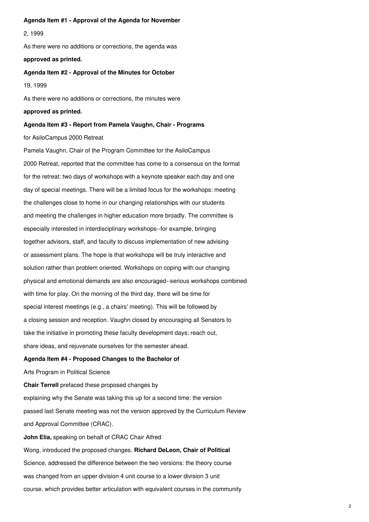#### **Agenda Item #1 - Approval of the Agenda for November**

2, 1999

As there were no additions or corrections, the agenda was

# **approved as printed.**

**Agenda Item #2 - Approval of the Minutes for October**

19, 1999

As there were no additions or corrections, the minutes were

# **approved as printed.**

# **Agenda Item #3 - Report from Pamela Vaughn, Chair - Programs**

#### for AsiloCampus 2000 Retreat

Pamela Vaughn, Chair of the Program Committee for the AsiloCampus 2000 Retreat, reported that the committee has come to a consensus on the format for the retreat: two days of workshops with a keynote speaker each day and one day of special meetings. There will be a limited focus for the workshops: meeting the challenges close to home in our changing relationships with our students and meeting the challenges in higher education more broadly. The committee is especially interested in interdisciplinary workshops--for example, bringing together advisors, staff, and faculty to discuss implementation of new advising or assessment plans. The hope is that workshops will be truly interactive and solution rather than problem oriented. Workshops on coping with our changing physical and emotional demands are also encouraged--serious workshops combined with time for play. On the morning of the third day, there will be time for special interest meetings (e.g., a chairs' meeting). This will be followed by a closing session and reception. Vaughn closed by encouraging all Senators to take the initiative in promoting these faculty development days: reach out, share ideas, and rejuvenate ourselves for the semester ahead.

# **Agenda Item #4 - Proposed Changes to the Bachelor of**

Arts Program in Political Science

**Chair Terrell** prefaced these proposed changes by explaining why the Senate was taking this up for a second time: the version passed last Senate meeting was not the version approved by the Curriculum Review and Approval Committee (CRAC). **John Elia,** speaking on behalf of CRAC Chair Alfred Wong, introduced the proposed changes. **Richard DeLeon, Chair of Political** Science, addressed the difference between the two versions: the theory course

was changed from an upper division 4 unit course to a lower division 3 unit course, which provides better articulation with equivalent courses in the community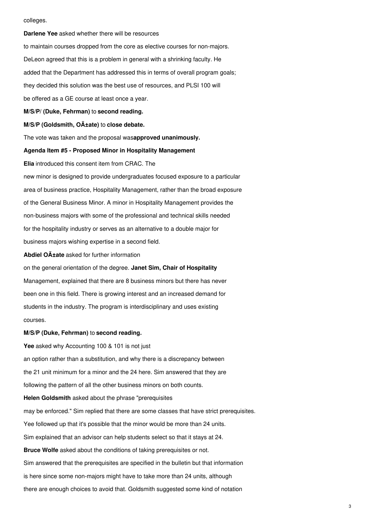#### colleges.

**Darlene Yee** asked whether there will be resources to maintain courses dropped from the core as elective courses for non-majors. DeLeon agreed that this is a problem in general with a shrinking faculty. He added that the Department has addressed this in terms of overall program goals; they decided this solution was the best use of resources, and PLSI 100 will be offered as a GE course at least once a year.

**M/S/P/ (Duke, Fehrman)** to **second reading.**

# **M/S/P (Goldsmith, Oñate)** to **close debate.**

The vote was taken and the proposal was**approved unanimously.**

## **Agenda Item #5 - Proposed Minor in Hospitality Management**

**Elia** introduced this consent item from CRAC. The

new minor is designed to provide undergraduates focused exposure to a particular area of business practice, Hospitality Management, rather than the broad exposure of the General Business Minor. A minor in Hospitality Management provides the non-business majors with some of the professional and technical skills needed for the hospitality industry or serves as an alternative to a double major for business majors wishing expertise in a second field.

**Abdiel O** $\tilde{A}$  **tate** asked for further information

on the general orientation of the degree. **Janet Sim, Chair of Hospitality** Management, explained that there are 8 business minors but there has never been one in this field. There is growing interest and an increased demand for students in the industry. The program is interdisciplinary and uses existing courses.

## **M/S/P (Duke, Fehrman)** to **second reading.**

**Yee** asked why Accounting 100 & 101 is not just an option rather than a substitution, and why there is a discrepancy between the 21 unit minimum for a minor and the 24 here. Sim answered that they are following the pattern of all the other business minors on both counts.

**Helen Goldsmith** asked about the phrase "prerequisites may be enforced." Sim replied that there are some classes that have strict prerequisites.

Yee followed up that it's possible that the minor would be more than 24 units.

Sim explained that an advisor can help students select so that it stays at 24.

**Bruce Wolfe** asked about the conditions of taking prerequisites or not.

Sim answered that the prerequisites are specified in the bulletin but that information

is here since some non-majors might have to take more than 24 units, although

there are enough choices to avoid that. Goldsmith suggested some kind of notation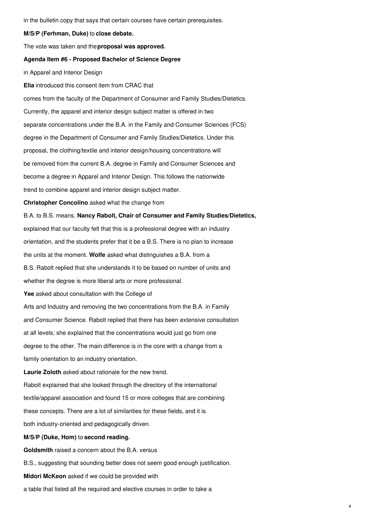in the bulletin copy that says that certain courses have certain prerequisites.

**M/S/P (Ferhman, Duke)** to **close debate.**

The vote was taken and the**proposal was approved.**

# **Agenda Item #6 - Proposed Bachelor of Science Degree**

in Apparel and Interior Design

**Elia** introduced this consent item from CRAC that

comes from the faculty of the Department of Consumer and Family Studies/Dietetics. Currently, the apparel and interior design subject matter is offered in two separate concentrations under the B.A. in the Family and Consumer Sciences (FCS) degree in the Department of Consumer and Family Studies/Dietetics. Under this proposal, the clothing/textile and interior design/housing concentrations will be removed from the current B.A. degree in Family and Consumer Sciences and become a degree in Apparel and Interior Design. This follows the nationwide trend to combine apparel and interior design subject matter.

**Christopher Concolino** asked what the change from

B.A. to B.S. means. **Nancy Rabolt, Chair of Consumer and Family Studies/Dietetics,** explained that our faculty felt that this is a professional degree with an industry

orientation, and the students prefer that it be a B.S. There is no plan to increase

the units at the moment. **Wolfe** asked what distinguishes a B.A. from a

B.S. Rabolt replied that she understands it to be based on number of units and

whether the degree is more liberal arts or more professional.

**Yee** asked about consultation with the College of

Arts and Industry and removing the two concentrations from the B.A. in Family

and Consumer Science. Rabolt replied that there has been extensive consultation

at all levels; she explained that the concentrations would just go from one

degree to the other. The main difference is in the core with a change from a

family orientation to an industry orientation.

**Laurie Zoloth** asked about rationale for the new trend.

Rabolt explained that she looked through the directory of the international textile/apparel association and found 15 or more colleges that are combining these concepts. There are a lot of similarities for these fields, and it is both industry-oriented and pedagogically driven.

# **M/S/P (Duke, Hom)** to **second reading.**

**Goldsmith** raised a concern about the B.A. versus

B.S., suggesting that sounding better does not seem good enough justification.

**Midori McKeon** asked if we could be provided with

a table that listed all the required and elective courses in order to take a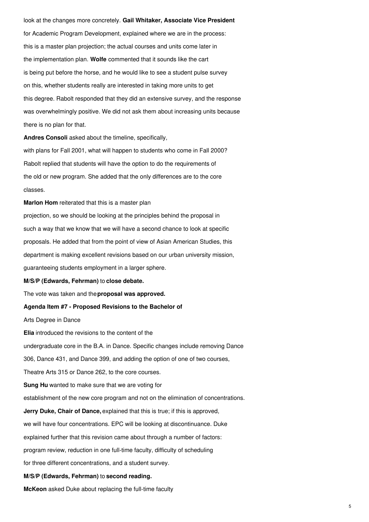look at the changes more concretely. **Gail Whitaker, Associate Vice President** for Academic Program Development, explained where we are in the process: this is a master plan projection; the actual courses and units come later in the implementation plan. **Wolfe** commented that it sounds like the cart is being put before the horse, and he would like to see a student pulse survey on this, whether students really are interested in taking more units to get this degree. Rabolt responded that they did an extensive survey, and the response was overwhelmingly positive. We did not ask them about increasing units because there is no plan for that.

**Andres Consoli** asked about the timeline, specifically,

with plans for Fall 2001, what will happen to students who come in Fall 2000? Rabolt replied that students will have the option to do the requirements of the old or new program. She added that the only differences are to the core classes.

**Marlon Hom** reiterated that this is a master plan projection, so we should be looking at the principles behind the proposal in such a way that we know that we will have a second chance to look at specific proposals. He added that from the point of view of Asian American Studies, this department is making excellent revisions based on our urban university mission, guaranteeing students employment in a larger sphere.

#### **M/S/P (Edwards, Fehrman)** to **close debate.**

The vote was taken and the**proposal was approved.**

#### **Agenda Item #7 - Proposed Revisions to the Bachelor of**

Arts Degree in Dance

**Elia** introduced the revisions to the content of the undergraduate core in the B.A. in Dance. Specific changes include removing Dance 306, Dance 431, and Dance 399, and adding the option of one of two courses, Theatre Arts 315 or Dance 262, to the core courses. **Sung Hu** wanted to make sure that we are voting for establishment of the new core program and not on the elimination of concentrations. **Jerry Duke, Chair of Dance,** explained that this is true; if this is approved, we will have four concentrations. EPC will be looking at discontinuance. Duke explained further that this revision came about through a number of factors: program review, reduction in one full-time faculty, difficulty of scheduling for three different concentrations, and a student survey.

#### **M/S/P (Edwards, Fehrman)** to **second reading.**

**McKeon** asked Duke about replacing the full-time faculty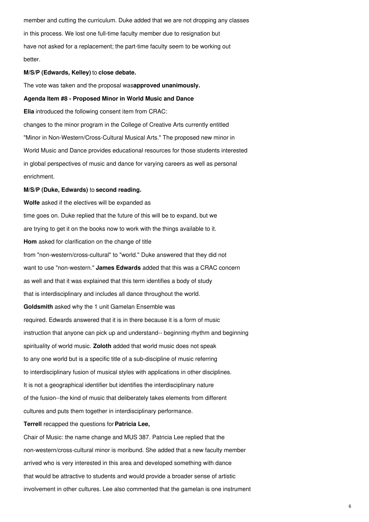member and cutting the curriculum. Duke added that we are not dropping any classes in this process. We lost one full-time faculty member due to resignation but have not asked for a replacement; the part-time faculty seem to be working out better.

## **M/S/P (Edwards, Kelley)** to **close debate.**

The vote was taken and the proposal was**approved unanimously.**

# **Agenda Item #8 - Proposed Minor in World Music and Dance**

**Elia** introduced the following consent item from CRAC: changes to the minor program in the College of Creative Arts currently entitled "Minor in Non-Western/Cross-Cultural Musical Arts." The proposed new minor in World Music and Dance provides educational resources for those students interested in global perspectives of music and dance for varying careers as well as personal enrichment.

## **M/S/P (Duke, Edwards)** to **second reading.**

**Wolfe** asked if the electives will be expanded as time goes on. Duke replied that the future of this will be to expand, but we are trying to get it on the books now to work with the things available to it. **Hom** asked for clarification on the change of title from "non-western/cross-cultural" to "world." Duke answered that they did not want to use "non-western." **James Edwards** added that this was a CRAC concern as well and that it was explained that this term identifies a body of study that is interdisciplinary and includes all dance throughout the world. **Goldsmith** asked why the 1 unit Gamelan Ensemble was required. Edwards answered that it is in there because it is a form of music instruction that anyone can pick up and understand-- beginning rhythm and beginning spirituality of world music. **Zoloth** added that world music does not speak to any one world but is a specific title of a sub-discipline of music referring to interdisciplinary fusion of musical styles with applications in other disciplines. It is not a geographical identifier but identifies the interdisciplinary nature of the fusion--the kind of music that deliberately takes elements from different cultures and puts them together in interdisciplinary performance. **Terrell** recapped the questions for**Patricia Lee,** Chair of Music: the name change and MUS 387. Patricia Lee replied that the non-western/cross-cultural minor is moribund. She added that a new faculty member

arrived who is very interested in this area and developed something with dance that would be attractive to students and would provide a broader sense of artistic involvement in other cultures. Lee also commented that the gamelan is one instrument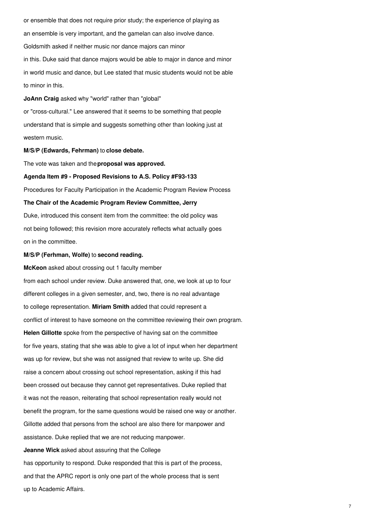or ensemble that does not require prior study; the experience of playing as an ensemble is very important, and the gamelan can also involve dance. Goldsmith asked if neither music nor dance majors can minor in this. Duke said that dance majors would be able to major in dance and minor in world music and dance, but Lee stated that music students would not be able to minor in this.

**JoAnn Craig** asked why "world" rather than "global"

or "cross-cultural." Lee answered that it seems to be something that people understand that is simple and suggests something other than looking just at western music.

#### **M/S/P (Edwards, Fehrman)** to **close debate.**

The vote was taken and the**proposal was approved.**

## **Agenda Item #9 - Proposed Revisions to A.S. Policy #F93-133**

Procedures for Faculty Participation in the Academic Program Review Process

## **The Chair of the Academic Program Review Committee, Jerry**

Duke, introduced this consent item from the committee: the old policy was not being followed; this revision more accurately reflects what actually goes on in the committee.

# **M/S/P (Ferhman, Wolfe)** to **second reading.**

**McKeon** asked about crossing out 1 faculty member from each school under review. Duke answered that, one, we look at up to four different colleges in a given semester, and, two, there is no real advantage to college representation. **Miriam Smith** added that could represent a conflict of interest to have someone on the committee reviewing their own program. **Helen Gillotte** spoke from the perspective of having sat on the committee for five years, stating that she was able to give a lot of input when her department was up for review, but she was not assigned that review to write up. She did raise a concern about crossing out school representation, asking if this had been crossed out because they cannot get representatives. Duke replied that it was not the reason, reiterating that school representation really would not benefit the program, for the same questions would be raised one way or another. Gillotte added that persons from the school are also there for manpower and assistance. Duke replied that we are not reducing manpower. **Jeanne Wick** asked about assuring that the College has opportunity to respond. Duke responded that this is part of the process, and that the APRC report is only one part of the whole process that is sent up to Academic Affairs.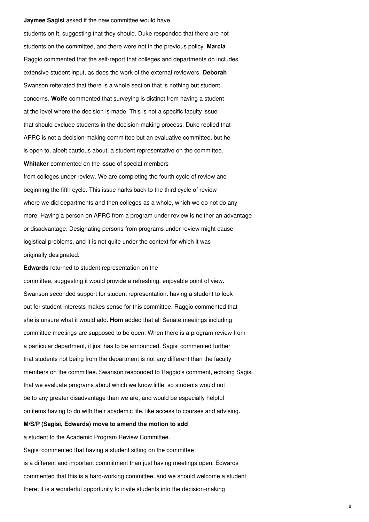#### **Jaymee Sagisi** asked if the new committee would have

students on it, suggesting that they should. Duke responded that there are not students on the committee, and there were not in the previous policy. **Marcia** Raggio commented that the self-report that colleges and departments do includes extensive student input, as does the work of the external reviewers. **Deborah** Swanson reiterated that there is a whole section that is nothing but student concerns. **Wolfe** commented that surveying is distinct from having a student at the level where the decision is made. This is not a specific faculty issue that should exclude students in the decision-making process. Duke replied that APRC is not a decision-making committee but an evaluative committee, but he is open to, albeit cautious about, a student representative on the committee. **Whitaker** commented on the issue of special members from colleges under review. We are completing the fourth cycle of review and beginning the fifth cycle. This issue harks back to the third cycle of review where we did departments and then colleges as a whole, which we do not do any more. Having a person on APRC from a program under review is neither an advantage or disadvantage. Designating persons from programs under review might cause logistical problems, and it is not quite under the context for which it was originally designated.

**Edwards** returned to student representation on the

committee, suggesting it would provide a refreshing, enjoyable point of view. Swanson seconded support for student representation: having a student to look out for student interests makes sense for this committee. Raggio commented that she is unsure what it would add. **Hom** added that all Senate meetings including committee meetings are supposed to be open. When there is a program review from a particular department, it just has to be announced. Sagisi commented further that students not being from the department is not any different than the faculty members on the committee. Swanson responded to Raggio's comment, echoing Sagisi that we evaluate programs about which we know little, so students would not be to any greater disadvantage than we are, and would be especially helpful on items having to do with their academic life, like access to courses and advising.

# **M/S/P (Sagisi, Edwards) move to amend the motion to add**

a student to the Academic Program Review Committee. Sagisi commented that having a student sitting on the committee is a different and important commitment than just having meetings open. Edwards commented that this is a hard-working committee, and we should welcome a student there; it is a wonderful opportunity to invite students into the decision-making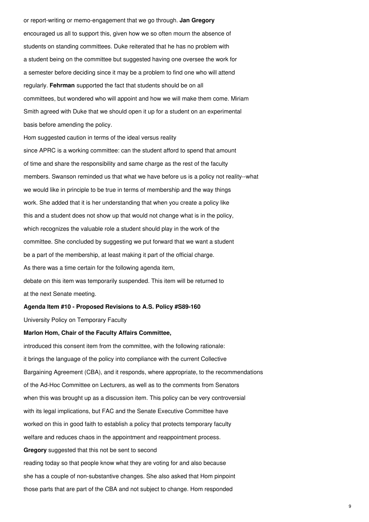or report-writing or memo-engagement that we go through. **Jan Gregory** encouraged us all to support this, given how we so often mourn the absence of students on standing committees. Duke reiterated that he has no problem with a student being on the committee but suggested having one oversee the work for a semester before deciding since it may be a problem to find one who will attend regularly. **Fehrman** supported the fact that students should be on all committees, but wondered who will appoint and how we will make them come. Miriam Smith agreed with Duke that we should open it up for a student on an experimental basis before amending the policy.

Hom suggested caution in terms of the ideal versus reality since APRC is a working committee: can the student afford to spend that amount of time and share the responsibility and same charge as the rest of the faculty members. Swanson reminded us that what we have before us is a policy not reality--what we would like in principle to be true in terms of membership and the way things work. She added that it is her understanding that when you create a policy like this and a student does not show up that would not change what is in the policy, which recognizes the valuable role a student should play in the work of the committee. She concluded by suggesting we put forward that we want a student be a part of the membership, at least making it part of the official charge. As there was a time certain for the following agenda item, debate on this item was temporarily suspended. This item will be returned to at the next Senate meeting.

#### **Agenda Item #10 - Proposed Revisions to A.S. Policy #S89-160**

University Policy on Temporary Faculty

#### **Marlon Hom, Chair of the Faculty Affairs Committee,**

introduced this consent item from the committee, with the following rationale: it brings the language of the policy into compliance with the current Collective Bargaining Agreement (CBA), and it responds, where appropriate, to the recommendations of the Ad-Hoc Committee on Lecturers, as well as to the comments from Senators when this was brought up as a discussion item. This policy can be very controversial with its legal implications, but FAC and the Senate Executive Committee have worked on this in good faith to establish a policy that protects temporary faculty welfare and reduces chaos in the appointment and reappointment process. **Gregory** suggested that this not be sent to second reading today so that people know what they are voting for and also because she has a couple of non-substantive changes. She also asked that Hom pinpoint those parts that are part of the CBA and not subject to change. Hom responded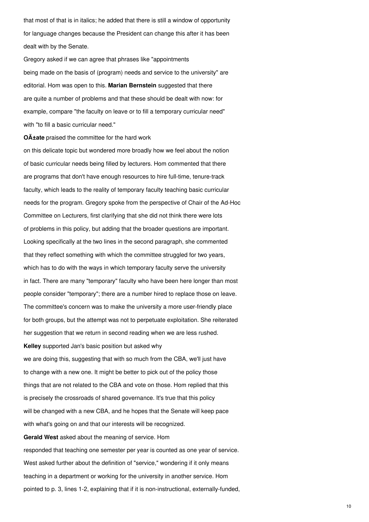that most of that is in italics; he added that there is still a window of opportunity for language changes because the President can change this after it has been dealt with by the Senate.

Gregory asked if we can agree that phrases like "appointments being made on the basis of (program) needs and service to the university" are editorial. Hom was open to this. **Marian Bernstein** suggested that there are quite a number of problems and that these should be dealt with now: for example, compare "the faculty on leave or to fill a temporary curricular need" with "to fill a basic curricular need."

**OA<sub>tate</sub>** praised the committee for the hard work

on this delicate topic but wondered more broadly how we feel about the notion of basic curricular needs being filled by lecturers. Hom commented that there are programs that don't have enough resources to hire full-time, tenure-track faculty, which leads to the reality of temporary faculty teaching basic curricular needs for the program. Gregory spoke from the perspective of Chair of the Ad-Hoc Committee on Lecturers, first clarifying that she did not think there were lots of problems in this policy, but adding that the broader questions are important. Looking specifically at the two lines in the second paragraph, she commented that they reflect something with which the committee struggled for two years, which has to do with the ways in which temporary faculty serve the university in fact. There are many "temporary" faculty who have been here longer than most people consider "temporary"; there are a number hired to replace those on leave. The committee's concern was to make the university a more user-friendly place for both groups, but the attempt was not to perpetuate exploitation. She reiterated her suggestion that we return in second reading when we are less rushed.

**Kelley** supported Jan's basic position but asked why we are doing this, suggesting that with so much from the CBA, we'll just have to change with a new one. It might be better to pick out of the policy those things that are not related to the CBA and vote on those. Hom replied that this is precisely the crossroads of shared governance. It's true that this policy will be changed with a new CBA, and he hopes that the Senate will keep pace with what's going on and that our interests will be recognized.

**Gerald West** asked about the meaning of service. Hom responded that teaching one semester per year is counted as one year of service. West asked further about the definition of "service," wondering if it only means teaching in a department or working for the university in another service. Hom pointed to p. 3, lines 1-2, explaining that if it is non-instructional, externally-funded,